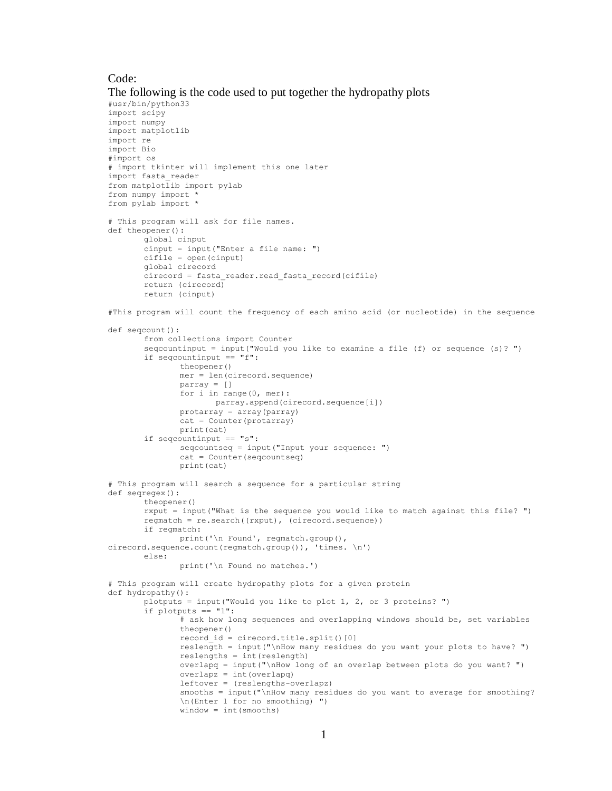## Code:

```
The following is the code used to put together the hydropathy plots
#usr/bin/python33
import scipy
import numpy
import matplotlib
import re
import Bio
#import os
# import tkinter will implement this one later
import fasta_reader
from \text{matplot}lib import pylab
from numpy import *
from pylab import *
# This program will ask for file names.
def theopener():
       global cinput
        cinput = input("Enter a file name: ")
        cifile = open(cinput)
       global cirecord 
       cirecord = fasta_reader.read_fasta_record(cifile)
       return (cirecord)
       return (cinput)
#This program will count the frequency of each amino acid (or nucleotide) in the sequence
def seqcount():
       from collections import Counter
       seqcountinput = input("Would you like to examine a file (f) or sequence (s)? ")
       if seqcountinput == "f":
               theopener()
               mer = len(cirecord.sequence)
               parray = []
               for i in range(0, mer):
                      parray.append(cirecord.sequence[i])
               protarray = array(parray)
               cat = Counter(protarray)
              print(cat)
       if seqcountinput == "s":
               seqcountseq = input("Input your sequence: ")
               cat = Counter(seqcountseq)
               print(cat)
# This program will search a sequence for a particular string
def seqregex():
       theopener()
       rxput = input("What is the sequence you would like to match against this file? ")
       regmatch = re.search((rxput), (cirecord.sequence))
       if regmatch:
              print('\n Found', regmatch.group(), 
cirecord.sequence.count(regmatch.group()), 'times. \n')
       else:
               print('\n Found no matches.')
# This program will create hydropathy plots for a given protein
def hydropathy():
       plotputs = input("Would you like to plot 1, 2, or 3 proteins? ")
       if plotputs == "1":
               \frac{1}{4} ask how long sequences and overlapping windows should be, set variables
               theopener()
               record id = cirecord.title.split()[0]
               reslength = input("\nHow many residues do you want your plots to have? ")
               reslengths = int(reslength)
               overlapq = input("\nHow long of an overlap between plots do you want? ")
               overlapz = int(overlapq)leftover = (reslengths-overlapz)
               smooths = input("\\hHow many residues do you want to average for smoothing?\n(Enter 1 for no smoothing) ")
               window = int(smooths)
```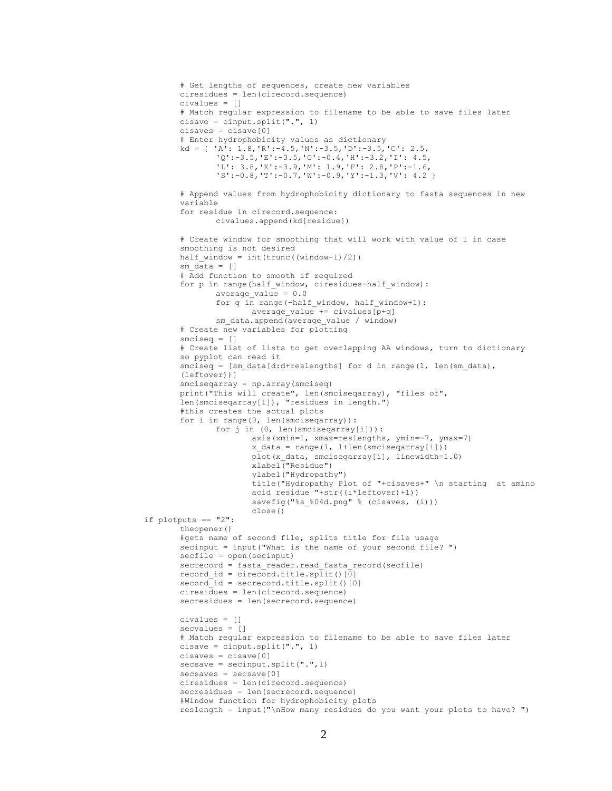```
# Get lengths of sequences, create new variables
       ciresidues = len(cirecord.sequence)
       civalues = []
       # Match regular expression to filename to be able to save files later
       cissue = cinput.split("." , 1)cisaves = cisave[0]
       # Enter hydrophobicity values as dictionary
       kd = { 'A': 1.8,'R':-4.5,'N':-3.5,'D':-3.5,'C': 2.5,
               'Q':-3.5,'E':-3.5,'G':-0.4,'H':-3.2,'I': 4.5,
               'L': 3.8,'K':-3.9,'M': 1.9,'F': 2.8,'P':-1.6,
               'S':-0.8,'T':-0.7,'W':-0.9,'Y':-1.3,'V': 4.2 }
       # Append values from hydrophobicity dictionary to fasta sequences in new 
       variable
       for residue in cirecord.sequence:
              civalues.append(kd[residue])
       # Create window for smoothing that will work with value of 1 in case 
       smoothing is not desired
       half_window = int(trunc((window-1)/2))sm data = []# Add function to smooth if required
       for p in range(half window, ciresidues-half window):
              average value = 0.0for q in range(-half_window, half_window+1):
                      average value + civalues [p+q]sm_data.append(average_value / window)
       # Create new variables for plotting
       smciseq = []
       # Create list of lists to get overlapping AA windows, turn to dictionary 
       so pyplot can read it
       smciseq = [sm data[d:dtreslengths] for d in range(1, len(sm data),
       (leftover))]
       smciseqarray = np.array(smciseq)
       print("This will create", len(smciseqarray), "files of", 
       len(smciseqarray[1]), "residues in length.")
       #this creates the actual plots
       for i in range(0, len(smciseqarray)):
               for j in (0, len(smciseqarray[i])): 
                      axis(xmin=1, xmax=reslengths, ymin=-7, ymax=7)
                      x data = range(1, 1+len(smciseqarray[i]))
                      plot(x data, smciseqarray[i], linewidth=1.0)
                      xlabel("Residue")
                      ylabel("Hydropathy")
                      title("Hydropathy Plot of "+cisaves+" \n starting at amino 
                      acid residue "+str((i*leftover)+1))
                      savefig("%s %04d.png" % (cisaves, (i)))
                      close()
if plotputs == "2":
       theopener()
       #gets name of second file, splits title for file usage
       secinput = input("What is the name of your second file? ")
       secfile = open(secinput)
       secrecord = fasta_reader.read_fasta_record(secfile)
       record id = cirecord.title.split()[0]
       secord id = secrecord.title.split()[0]
       ciresidues = len(cirecord.sequence)
       secresidues = len(secrecord.sequence)
       civalues = []
       secvalues = []
       # Match regular expression to filename to be able to save files later
       cisave = cinput.split(".", 1)
       cisaves = cisave[0]
       secsave = secinput.split("".", 1)secsaves = secsave[0]
       ciresidues = len(cirecord.sequence)
       secresidues = len(secrecord.sequence)
       #Window function for hydrophobicity plots
       reslength = input("\nHow many residues do you want your plots to have? ")
```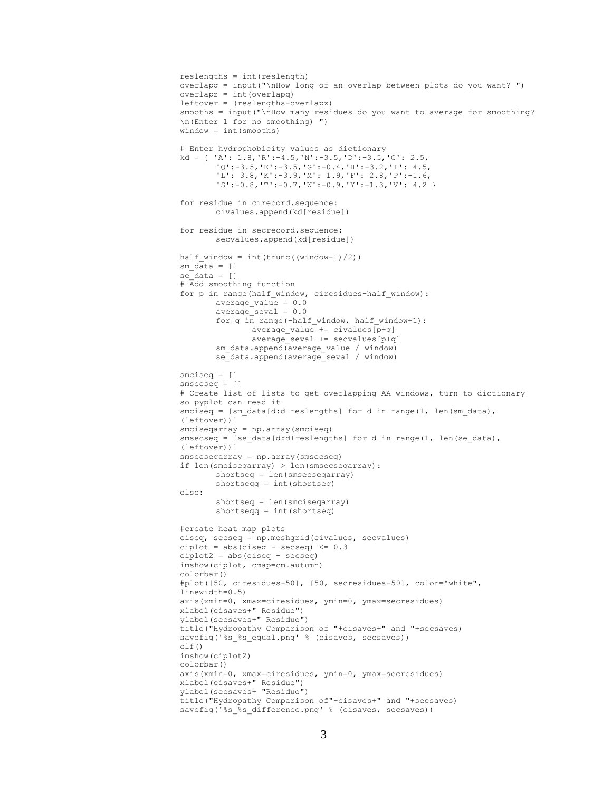```
reslengths = int(reslength)
overlapq = input("\nHow long of an overlap between plots do you want? ")
overlapz = int(overlapq)
leftover = (reslengths-overlapz)
smooths = input("\nHow many residues do you want to average for smoothing? 
\n(Enter 1 for no smoothing) ")
window = int(smooths)# Enter hydrophobicity values as dictionary
kd = \{ 'A': 1.8, 'R': -4.5, 'N': -3.5, 'D': -3.5, 'C': 2.5, \}'Q':-3.5,'E':-3.5,'G':-0.4,'H':-3.2,'I': 4.5,
        'L': 3.8,'K':-3.9,'M': 1.9,'F': 2.8,'P':-1.6,
        'S':-0.8,'T':-0.7,'W':-0.9,'Y':-1.3,'V': 4.2 }
for residue in cirecord.sequence:
       civalues.append(kd[residue])
for residue in secrecord.sequence:
       secvalues.append(kd[residue])
half_window = int(trunc((window-1)/2))sm data = []se\_data = []# Add smoothing function
for p in range(half window, ciresidues-half window):
       average_value = 0.0
       average seval = 0.0for q in range(-half window, half window+1):
               average value + civalues [p+q]average seval += secvalues[p+q]
       sm data.append(average value / window)
       se_data.append(average_seval / window)
smciseq = []
smsecseq = []
# Create list of lists to get overlapping AA windows, turn to dictionary 
so pyplot can read it
smciseq = [sm data[d:dt+reslengths] for d in range(1, len(sm data),
(leftover))]
smciseqarray = np.array(smciseq)
smsecseq = [se data[d:d+reslengths] for d in range(1, len(se data),
(leftover))]
smsecseqarray = np.array(smsecseq)
if len(smciseqarray) > len(smsecseqarray):
        shortseq = len(smsecseqarray)
        shortseqq = int(shortseq)
else:
       shortseq = len(smciseqarray)
       shortseqq = int(shortseq)
#create heat map plots
ciseq, secseq = np.meshgrid(civalues, secvalues)
ciplot = abs(ciseq - secseq) \leq 0.3ciplot2 = abs(ciseq - secseq)
imshow(ciplot, cmap=cm.autumn)
colorbar()
#plot([50, ciresidues-50], [50, secresidues-50], color="white", 
linewidth=0.5)
axis(xmin=0, xmax=ciresidues, ymin=0, ymax=secresidues)
xlabel(cisaves+" Residue")
ylabel(secsaves+" Residue")
title("Hydropathy Comparison of "+cisaves+" and "+secsaves)
savefig('%s %s equal.png' % (cisaves, secsaves))
c1f()imshow(ciplot2)
colorbar()
axis(xmin=0, xmax=ciresidues, ymin=0, ymax=secresidues)
xlabel(cisaves+" Residue")
ylabel(secsaves+ "Residue")
title("Hydropathy Comparison of"+cisaves+" and "+secsaves)
savefig('%s %s difference.png' % (cisaves, secsaves))
```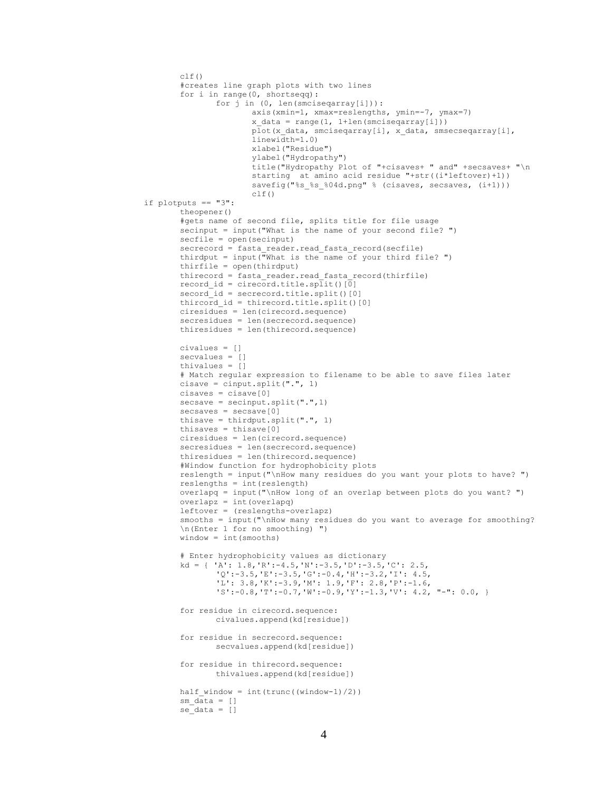```
clf()#creates line graph plots with two lines
       for i in range(0, shortseqq):
               for j in (0, len(smciseqarray[i])):
                      axis(xmin=1, xmax=reslengths, ymin=-7, ymax=7)
                      x data = range(1, 1+len(smciseqarray[i]))
                      plot(x_data, smciseqarray[i], x_data, smsecseqarray[i], 
                      linewidth=1.0)
                      xlabel("Residue")
                      ylabel("Hydropathy")
                      title("Hydropathy Plot of "+cisaves+ " and" +secsaves+ "\n 
                      starting at amino acid residue "+str((i*leftover)+1))
                      savefig("%s %s %04d.png" % (cisaves, secsaves, (i+1)))
                      clf()
if plotputs == "3":
       theopener()
       #gets name of second file, splits title for file usage
       secinput = input ("What is the name of your second file? ")
       secfile = open(secinput)
       secrecord = fasta reader.read fasta record(secfile)
       thirdput = input ("What is the name of your third file? ")
       thirfile = open(thirdput)
       thirecord = fasta_reader.read_fasta_record(thirfile)
        record id = cirecord.title.split()[0]
        secord id = secrecord.title.split()[0]
       thircord id = thirecord.title.split()[0]
       ciresidues = len(cirecord.sequence)
       secresidues = len(secrecord.sequence)
       thiresidues = len(thirecord.sequence)
       civalues = []
       secvalues = []
       thivalues = []
       # Match regular expression to filename to be able to save files later
       cisave = cinput.split(".", 1)
       cisaves = cisave[0]
       secsave = secinput.split(".",1)
       secsaves = secsave[0]thisave = thirdput.split(".", 1)
       thisaves = thisave[0]
       ciresidues = len(cirecord.sequence)
       secresidues = len(secrecord.sequence)
       thiresidues = len(thirecord.sequence)
       #Window function for hydrophobicity plots
       reslength = input("\nHow many residues do you want your plots to have? ")
       reslengths = int(reslength)
       overlapq = input("\nHow long of an overlap between plots do you want? ")
       overlapz = int(overlapq)leftover = (reslengths-overlapz)
       smooths = input (\sqrt{nHow} \text{ many residues do you want to average for smoothing?})\n(Enter 1 for no smoothing) ")
       window = int(smooths)
       # Enter hydrophobicity values as dictionary
       kd = { 'A': 1.8,'R':-4.5,'N':-3.5,'D':-3.5,'C': 2.5,
               'Q':-3.5,'E':-3.5,'G':-0.4,'H':-3.2,'I': 4.5,
               'L': 3.8,'K':-3.9,'M': 1.9,'F': 2.8,'P':-1.6,
               'S':-0.8,'T':-0.7,'W':-0.9,'Y':-1.3,'V': 4.2, "-": 0.0, }
       for residue in cirecord.sequence:
               civalues.append(kd[residue])
       for residue in secrecord.sequence:
               secvalues.append(kd[residue])
       for residue in thirecord.sequence:
               thivalues.append(kd[residue])
       half window = int(trunc((window-1)/2))
        sm data = []se data = []
```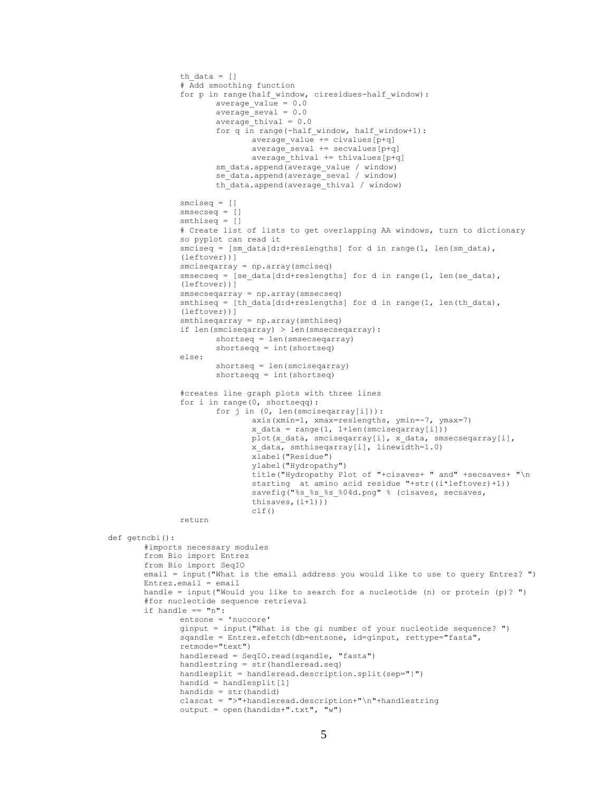```
th data = []
               # Add smoothing function
               for p in range(half window, ciresidues-half window):
                      average value = 0.0average seval = 0.0average_thival = 0.0
                      for q in range(-half window, half window+1):
                              average value += civalues[p+q]
                              \arctan = sevalues [p+q]
                              average\_thival += this valuesm data.append(average value / window)
                      se_data.append(average_seval / window)
                      th data.append(average thival / window)
               smciseq = []
               smseeseq = []
               smthiseq = []
               # Create list of lists to get overlapping AA windows, turn to dictionary 
               so pyplot can read it
               smciseq = [\text{sm data}[d:d+reslengths] for d in range(1, len(sm data),
               (leftover))]
               smciseqarray = np.array(smciseq)
               smsecseq = [se_data[d:d+reslengths] for d in range(1, len(se_data), 
               (leftover))]
               smsecseqarray = np.array(smsecseq)
               smthiseq = [th_data[d:d+reslengths] for d in range(1, len(th_data),
               (leftover))]
               smthiseqarray = np.array(smthiseq)
               if len(smciseqarray) > len(smsecseqarray):
                      shortseq = len(smsecseqarray)
                      shortseqq = int(shortseq)
               else:
                      shortseq = len(smciseqarray)
                      shortseqq = int(shortseq)
               #creates line graph plots with three lines
               for i in range(0, shortseqq):
                      for j in (0, len(smciseqarray[i])): 
                              axis(xmin=1, xmax=reslengths, ymin=-7, ymax=7)
                              x data = range(1, 1+len(smciseqarray[i]))
                              plot(x_data, smciseqarray[i], x_data, smsecseqarray[i],
                              x_data, smthiseqarray[i], linewidth=1.0)
                              xlabel("Residue")
                              ylabel("Hydropathy")
                              title("Hydropathy Plot of "+cisaves+ " and" +secsaves+ "\n 
                              starting at amino acid residue "+str((i*leftover)+1))
                              savefig("%s %s %s %04d.png" % (cisaves, secsaves,
                              thisaves,(i+1)))
                              c]f()return
def getncbi():
       #imports necessary modules
       from Bio import Entrez
       from Bio import SeqIO
       email = input("What is the email address you would like to use to query Entrez? ")
       Entrez.email = email
       handle = input("Would you like to search for a nucleotide (n) or protein (p)? ")
       #for nucleotide sequence retrieval
       if handle == "n":
               entsone = 'nuccore'
               ginput = input("What is the gi number of your nucleotide sequence? ")
               sqandle = Entrez.efetch(db=entsone, id=ginput, rettype="fasta", 
               retmode="text")
               handleread = SeqIO.read(sqandle, "fasta")
               handlestring = str(handleread.seq)
               handlesplit = handleread.description.split(sep="|")
               handid = handlesplit[1]handids = str(handid)
               clascat = ">"+handleread.description+"\n"+handlestring
               output = open(handids+".txt", "w")
```

```
5
```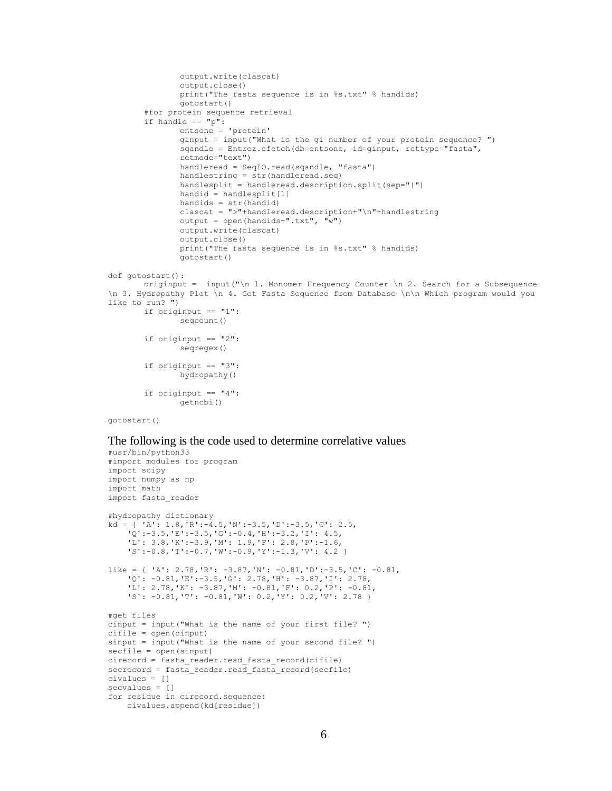```
output.write(clascat)
               output.close()
               print("The fasta sequence is in %s.txt" % handids)
               gotostart()
       #for protein sequence retrieval
       if handle == "p":
               entsone = 'protein'
               ginput = input("What is the gi number of your protein sequence? ")
               sqandle = Entrez.efetch(db=entsone, id=ginput, rettype="fasta", 
               retmode="text")
               handleread = SeqIO.read(sqandle, "fasta")
               handlestring = str(handleread.seq)
               handlesplit = handleread.description.split(sep="|")
               handid = handlesplit[1]
               handids = str(handid)clascat = ">"+handleread.description+"\n"+handlestring
               output = open(handids + ".txt", "w")output.write(clascat)
               output.close()
               print("The fasta sequence is in %s.txt" % handids)
               gotostart()
def gotostart():
       originput = input("\n 1. Monomer Frequency Counter \n 2. Search for a Subsequence 
\n 3. Hydropathy Plot \n 4. Get Fasta Sequence from Database \n\n Which program would you 
like to run? ")
       if originput == "1":
               seqcount()
       if originput == "2":
               seqregex()
       if originput == "3":
               hydropathy()
       if originput == "4":
               getncbi()
```

```
gotostart()
```
The following is the code used to determine correlative values

```
#usr/bin/python33
#import modules for program
import scipy
import numpy as np
import math
import fasta_reader
#hydropathy dictionary
kd = { 'A': 1.8,'R':-4.5,'N':-3.5,'D':-3.5,'C': 2.5,
     'Q':-3.5,'E':-3.5,'G':-0.4,'H':-3.2,'I': 4.5,
     'L': 3.8,'K':-3.9,'M': 1.9,'F': 2.8,'P':-1.6,
     'S':-0.8,'T':-0.7,'W':-0.9,'Y':-1.3,'V': 4.2 }
like = { 'A': 2.78,'R': -3.87,'N': -0.81,'D':-3.5,'C': -0.81,
     'Q': -0.81,'E':-3.5,'G': 2.78,'H': -3.87,'I': 2.78,
     'L': 2.78,'K': -3.87,'M': -0.81,'F': 0.2,'P': -0.81,
     'S': -0.81,'T': -0.81,'W': 0.2,'Y': 0.2,'V': 2.78 }
#get files
cinput = input("What is the name of your first file? ")
cifile = open(cinput)
sinput = input("What is the name of your second file? ")
secfile = open(sinput)
cirecord = fasta_reader.read_fasta_record(cifile)
secrecord = fasta reader.read fasta record(secfile)
civalues = []
secvalues = []
for residue in cirecord.sequence:
     civalues.append(kd[residue])
```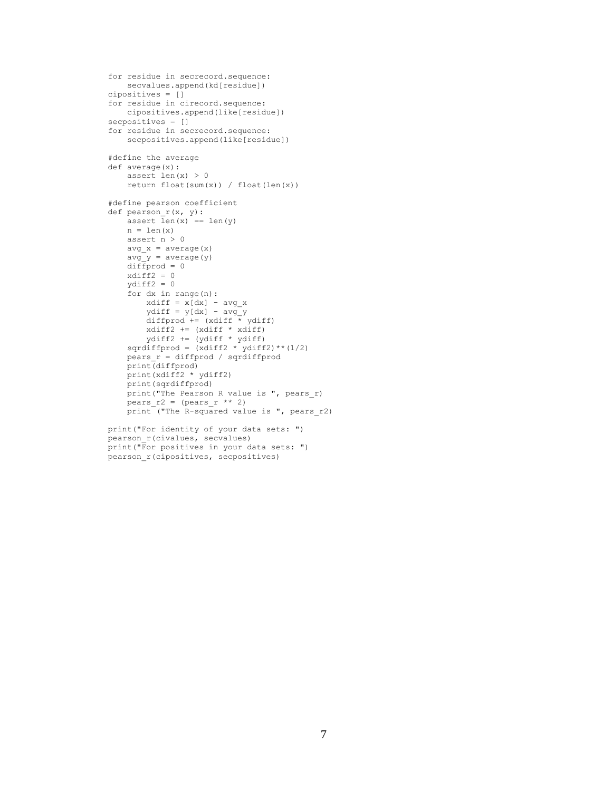```
for residue in secrecord.sequence:
    secvalues.append(kd[residue])
cipositives = []
for residue in cirecord.sequence:
    cipositives.append(like[residue])
secpositives = []
for residue in secrecord.sequence:
    secpositives.append(like[residue])
#define the average
def average(x):
     assert len(x) > 0
    return float(sum(x)) / float(len(x))#define pearson coefficient
def pearson_r(x, y):
    assert len(x) == len(y)n = len(x) assert n > 0
avg x = average(x)avg y = average(y)diffprod = 0xdiff2 = 0 ydiff2 = 0
     for dx in range(n):
       xdiff = x[dx] - avg_xydiff = y[dx] - avg y diffprod += (xdiff * ydiff)
       xdiff2 += (xdiff * xdiff) ydiff2 += (ydiff * ydiff)
sqrdiffprod = (xdiff2 * ydiff2) * (1/2)pears_r = diffprod / sqrdiffprod print(diffprod)
     print(xdiff2 * ydiff2)
     print(sqrdiffprod)
     print("The Pearson R value is ", pears_r)
    pears_r^2 = (pears_r * 2)print ("The R-squared value is ", pears r2)
print("For identity of your data sets: ")
pearson_r(civalues, secvalues)
```

```
print("For positives in your data sets: ")
pearson_r(cipositives, secpositives)
```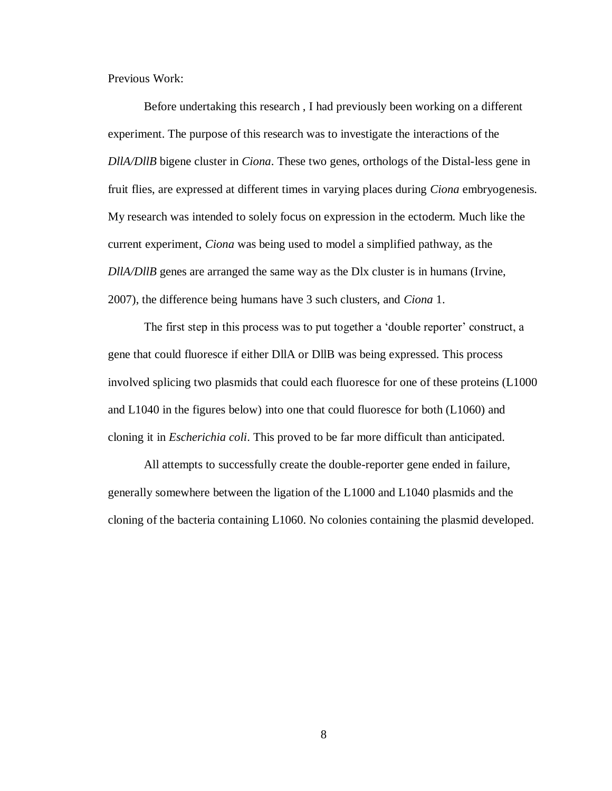Previous Work:

Before undertaking this research , I had previously been working on a different experiment. The purpose of this research was to investigate the interactions of the *DllA/DllB* bigene cluster in *Ciona*. These two genes, orthologs of the Distal-less gene in fruit flies, are expressed at different times in varying places during *Ciona* embryogenesis. My research was intended to solely focus on expression in the ectoderm. Much like the current experiment, *Ciona* was being used to model a simplified pathway, as the *DllA/DllB* genes are arranged the same way as the Dlx cluster is in humans (Irvine, 2007), the difference being humans have 3 such clusters, and *Ciona* 1.

The first step in this process was to put together a 'double reporter' construct, a gene that could fluoresce if either DllA or DllB was being expressed. This process involved splicing two plasmids that could each fluoresce for one of these proteins (L1000 and L1040 in the figures below) into one that could fluoresce for both (L1060) and cloning it in *Escherichia coli*. This proved to be far more difficult than anticipated.

All attempts to successfully create the double-reporter gene ended in failure, generally somewhere between the ligation of the L1000 and L1040 plasmids and the cloning of the bacteria containing L1060. No colonies containing the plasmid developed.